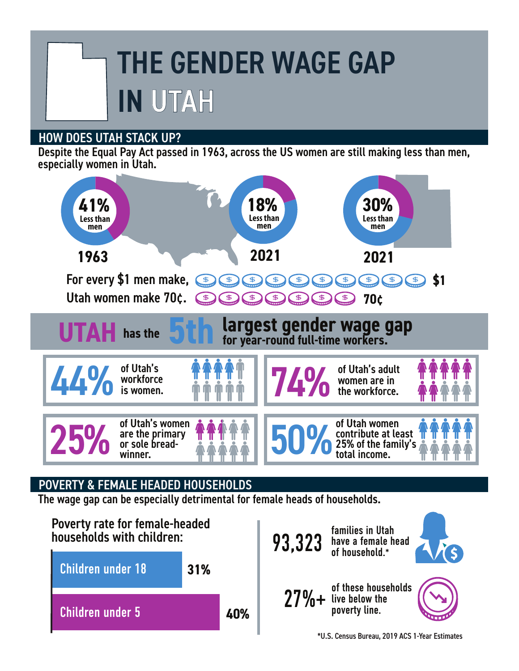## THE GENDER WAGE GAP IN UTAH

## HOW DOES UTAH STACK UP?

Despite the Equal Pay Act passed in 1963, across the US women are still making less than men, especially women in Utah.



## POVERTY & FEMALE HEADED HOUSEHOLDS

The wage gap can be especially detrimental for female heads of households.





\*U.S. Census Bureau, 2019 ACS 1-Year Estimates